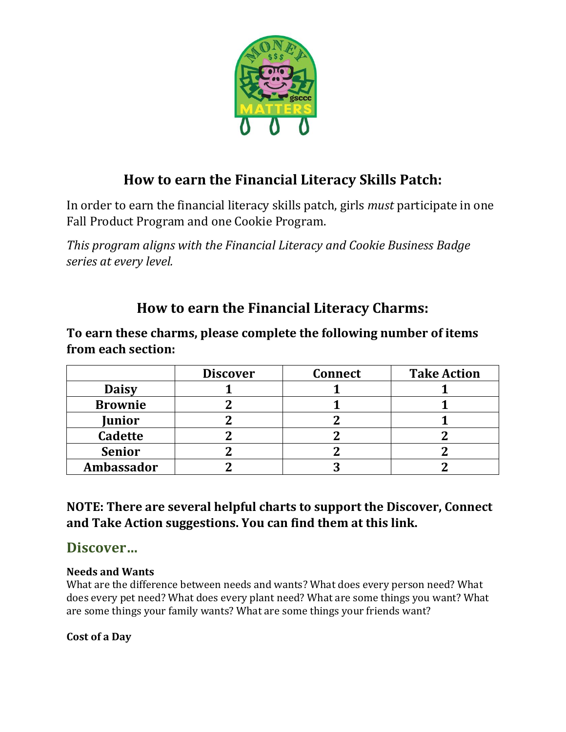

# **How to earn the Financial Literacy Skills Patch:**

In order to earn the financial literacy skills patch, girls *must* participate in one Fall Product Program and one Cookie Program.

*This program aligns with the Financial Literacy and Cookie Business Badge series at every level.* 

# **How to earn the Financial Literacy Charms:**

**To earn these charms, please complete the following number of items from each section:**

|                | <b>Discover</b> | <b>Connect</b> | <b>Take Action</b> |
|----------------|-----------------|----------------|--------------------|
| <b>Daisy</b>   |                 |                |                    |
| <b>Brownie</b> |                 |                |                    |
| <b>Junior</b>  |                 |                |                    |
| <b>Cadette</b> |                 |                |                    |
| <b>Senior</b>  |                 |                |                    |
| Ambassador     |                 |                |                    |

### **NOTE: There are several helpful charts to support the Discover, Connect and Take Action suggestions. You can find them at this link.**

## **Discover…**

### **Needs and Wants**

What are the difference between needs and wants? What does every person need? What does every pet need? What does every plant need? What are some things you want? What are some things your family wants? What are some things your friends want?

### **Cost of a Day**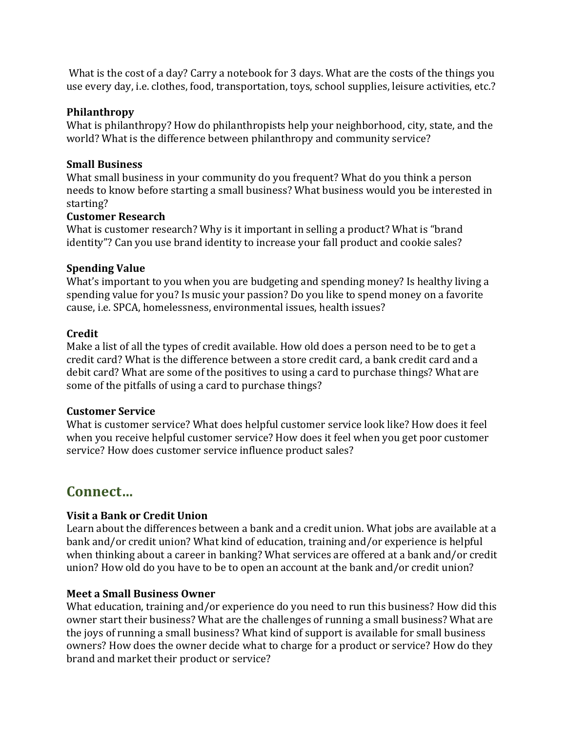What is the cost of a day? Carry a notebook for 3 days. What are the costs of the things you use every day, i.e. clothes, food, transportation, toys, school supplies, leisure activities, etc.?

#### **Philanthropy**

What is philanthropy? How do philanthropists help your neighborhood, city, state, and the world? What is the difference between philanthropy and community service?

#### **Small Business**

What small business in your community do you frequent? What do you think a person needs to know before starting a small business? What business would you be interested in starting?

#### **Customer Research**

What is customer research? Why is it important in selling a product? What is "brand identity"? Can you use brand identity to increase your fall product and cookie sales?

#### **Spending Value**

What's important to you when you are budgeting and spending money? Is healthy living a spending value for you? Is music your passion? Do you like to spend money on a favorite cause, i.e. SPCA, homelessness, environmental issues, health issues?

#### **Credit**

Make a list of all the types of credit available. How old does a person need to be to get a credit card? What is the difference between a store credit card, a bank credit card and a debit card? What are some of the positives to using a card to purchase things? What are some of the pitfalls of using a card to purchase things?

#### **Customer Service**

What is customer service? What does helpful customer service look like? How does it feel when you receive helpful customer service? How does it feel when you get poor customer service? How does customer service influence product sales?

## **Connect…**

#### **Visit a Bank or Credit Union**

Learn about the differences between a bank and a credit union. What jobs are available at a bank and/or credit union? What kind of education, training and/or experience is helpful when thinking about a career in banking? What services are offered at a bank and/or credit union? How old do you have to be to open an account at the bank and/or credit union?

#### **Meet a Small Business Owner**

What education, training and/or experience do you need to run this business? How did this owner start their business? What are the challenges of running a small business? What are the joys of running a small business? What kind of support is available for small business owners? How does the owner decide what to charge for a product or service? How do they brand and market their product or service?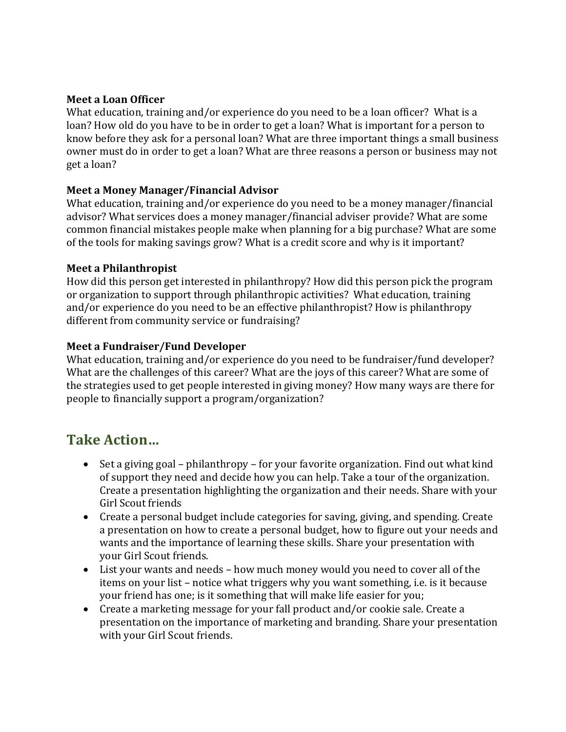#### **Meet a Loan Officer**

What education, training and/or experience do you need to be a loan officer? What is a loan? How old do you have to be in order to get a loan? What is important for a person to know before they ask for a personal loan? What are three important things a small business owner must do in order to get a loan? What are three reasons a person or business may not get a loan?

#### **Meet a Money Manager/Financial Advisor**

What education, training and/or experience do you need to be a money manager/financial advisor? What services does a money manager/financial adviser provide? What are some common financial mistakes people make when planning for a big purchase? What are some of the tools for making savings grow? What is a credit score and why is it important?

#### **Meet a Philanthropist**

How did this person get interested in philanthropy? How did this person pick the program or organization to support through philanthropic activities? What education, training and/or experience do you need to be an effective philanthropist? How is philanthropy different from community service or fundraising?

#### **Meet a Fundraiser/Fund Developer**

What education, training and/or experience do you need to be fundraiser/fund developer? What are the challenges of this career? What are the joys of this career? What are some of the strategies used to get people interested in giving money? How many ways are there for people to financially support a program/organization?

## **Take Action…**

- Set a giving goal philanthropy for your favorite organization. Find out what kind of support they need and decide how you can help. Take a tour of the organization. Create a presentation highlighting the organization and their needs. Share with your Girl Scout friends
- Create a personal budget include categories for saving, giving, and spending. Create a presentation on how to create a personal budget, how to figure out your needs and wants and the importance of learning these skills. Share your presentation with your Girl Scout friends.
- List your wants and needs how much money would you need to cover all of the items on your list – notice what triggers why you want something, i.e. is it because your friend has one; is it something that will make life easier for you;
- Create a marketing message for your fall product and/or cookie sale. Create a presentation on the importance of marketing and branding. Share your presentation with your Girl Scout friends.